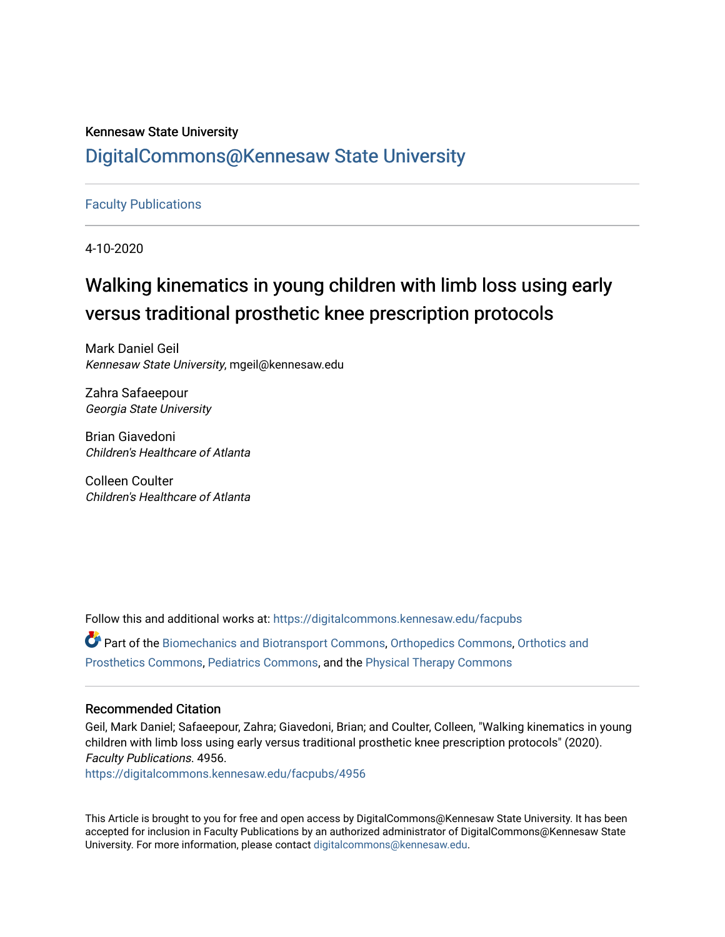## Kennesaw State University [DigitalCommons@Kennesaw State University](https://digitalcommons.kennesaw.edu/)

### [Faculty Publications](https://digitalcommons.kennesaw.edu/facpubs)

4-10-2020

## Walking kinematics in young children with limb loss using early versus traditional prosthetic knee prescription protocols

Mark Daniel Geil Kennesaw State University, mgeil@kennesaw.edu

Zahra Safaeepour Georgia State University

Brian Giavedoni Children's Healthcare of Atlanta

Colleen Coulter Children's Healthcare of Atlanta

Follow this and additional works at: [https://digitalcommons.kennesaw.edu/facpubs](https://digitalcommons.kennesaw.edu/facpubs?utm_source=digitalcommons.kennesaw.edu%2Ffacpubs%2F4956&utm_medium=PDF&utm_campaign=PDFCoverPages) Part of the [Biomechanics and Biotransport Commons](https://network.bepress.com/hgg/discipline/234?utm_source=digitalcommons.kennesaw.edu%2Ffacpubs%2F4956&utm_medium=PDF&utm_campaign=PDFCoverPages), [Orthopedics Commons,](https://network.bepress.com/hgg/discipline/696?utm_source=digitalcommons.kennesaw.edu%2Ffacpubs%2F4956&utm_medium=PDF&utm_campaign=PDFCoverPages) [Orthotics and](https://network.bepress.com/hgg/discipline/753?utm_source=digitalcommons.kennesaw.edu%2Ffacpubs%2F4956&utm_medium=PDF&utm_campaign=PDFCoverPages) [Prosthetics Commons](https://network.bepress.com/hgg/discipline/753?utm_source=digitalcommons.kennesaw.edu%2Ffacpubs%2F4956&utm_medium=PDF&utm_campaign=PDFCoverPages), [Pediatrics Commons,](https://network.bepress.com/hgg/discipline/700?utm_source=digitalcommons.kennesaw.edu%2Ffacpubs%2F4956&utm_medium=PDF&utm_campaign=PDFCoverPages) and the [Physical Therapy Commons](https://network.bepress.com/hgg/discipline/754?utm_source=digitalcommons.kennesaw.edu%2Ffacpubs%2F4956&utm_medium=PDF&utm_campaign=PDFCoverPages) 

#### Recommended Citation

Geil, Mark Daniel; Safaeepour, Zahra; Giavedoni, Brian; and Coulter, Colleen, "Walking kinematics in young children with limb loss using early versus traditional prosthetic knee prescription protocols" (2020). Faculty Publications. 4956.

[https://digitalcommons.kennesaw.edu/facpubs/4956](https://digitalcommons.kennesaw.edu/facpubs/4956?utm_source=digitalcommons.kennesaw.edu%2Ffacpubs%2F4956&utm_medium=PDF&utm_campaign=PDFCoverPages) 

This Article is brought to you for free and open access by DigitalCommons@Kennesaw State University. It has been accepted for inclusion in Faculty Publications by an authorized administrator of DigitalCommons@Kennesaw State University. For more information, please contact [digitalcommons@kennesaw.edu.](mailto:digitalcommons@kennesaw.edu)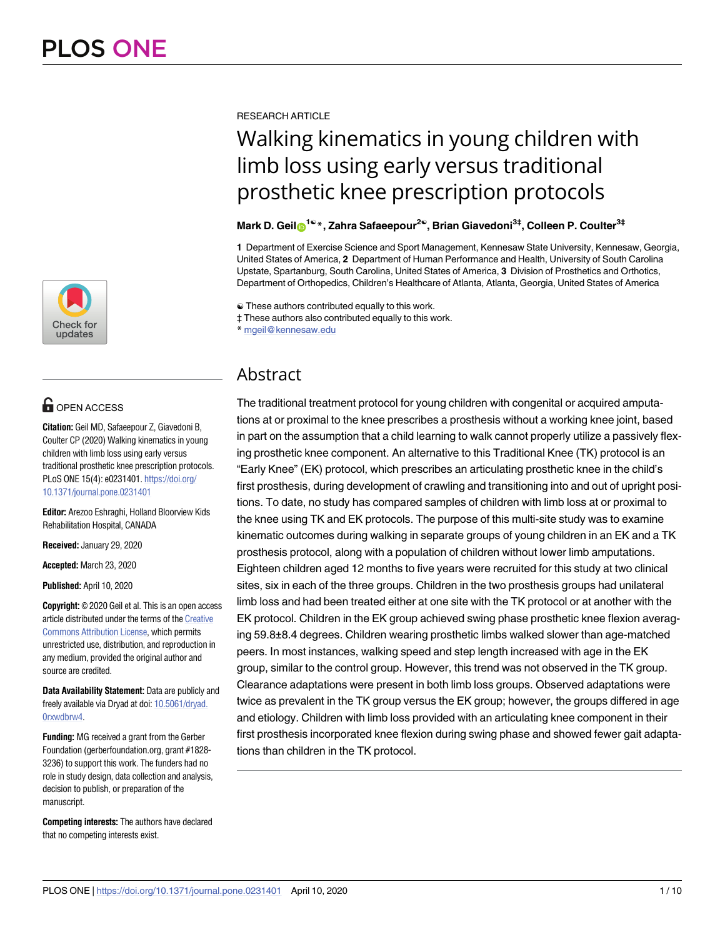

## **OPEN ACCESS**

**Citation:** Geil MD, Safaeepour Z, Giavedoni B, Coulter CP (2020) Walking kinematics in young children with limb loss using early versus traditional prosthetic knee prescription protocols. PLoS ONE 15(4): e0231401. [https://doi.org/](https://doi.org/10.1371/journal.pone.0231401) [10.1371/journal.pone.0231401](https://doi.org/10.1371/journal.pone.0231401)

**Editor:** Arezoo Eshraghi, Holland Bloorview Kids Rehabilitation Hospital, CANADA

**Received:** January 29, 2020

**Accepted:** March 23, 2020

**Published:** April 10, 2020

**Copyright:** © 2020 Geil et al. This is an open access article distributed under the terms of the [Creative](http://creativecommons.org/licenses/by/4.0/) [Commons](http://creativecommons.org/licenses/by/4.0/) Attribution License, which permits unrestricted use, distribution, and reproduction in any medium, provided the original author and source are credited.

**Data Availability Statement:** Data are publicly and freely available via Dryad at doi: [10.5061/dryad.](https://doi.org/10.5061/dryad.0rxwdbrw4) [0rxwdbrw4.](https://doi.org/10.5061/dryad.0rxwdbrw4)

**Funding:** MG received a grant from the Gerber Foundation (gerberfoundation.org, grant #1828- 3236) to support this work. The funders had no role in study design, data collection and analysis, decision to publish, or preparation of the manuscript.

**Competing interests:** The authors have declared that no competing interests exist.

RESEARCH ARTICLE

# Walking kinematics in young children with limb loss using early versus traditional prosthetic knee prescription protocols

#### **Mark D. Gei[lID1](http://orcid.org/0000-0003-4084-4286)**☯**\*, Zahra Safaeepour2**☯**, Brian Giavedoni3‡, Colleen P. Coulter3‡**

**1** Department of Exercise Science and Sport Management, Kennesaw State University, Kennesaw, Georgia, United States of America, **2** Department of Human Performance and Health, University of South Carolina Upstate, Spartanburg, South Carolina, United States of America, **3** Division of Prosthetics and Orthotics, Department of Orthopedics, Children's Healthcare of Atlanta, Atlanta, Georgia, United States of America

☯ These authors contributed equally to this work.

‡ These authors also contributed equally to this work.

\* mgeil@kennesaw.edu

### Abstract

The traditional treatment protocol for young children with congenital or acquired amputations at or proximal to the knee prescribes a prosthesis without a working knee joint, based in part on the assumption that a child learning to walk cannot properly utilize a passively flexing prosthetic knee component. An alternative to this Traditional Knee (TK) protocol is an "Early Knee" (EK) protocol, which prescribes an articulating prosthetic knee in the child's first prosthesis, during development of crawling and transitioning into and out of upright positions. To date, no study has compared samples of children with limb loss at or proximal to the knee using TK and EK protocols. The purpose of this multi-site study was to examine kinematic outcomes during walking in separate groups of young children in an EK and a TK prosthesis protocol, along with a population of children without lower limb amputations. Eighteen children aged 12 months to five years were recruited for this study at two clinical sites, six in each of the three groups. Children in the two prosthesis groups had unilateral limb loss and had been treated either at one site with the TK protocol or at another with the EK protocol. Children in the EK group achieved swing phase prosthetic knee flexion averaging 59.8±8.4 degrees. Children wearing prosthetic limbs walked slower than age-matched peers. In most instances, walking speed and step length increased with age in the EK group, similar to the control group. However, this trend was not observed in the TK group. Clearance adaptations were present in both limb loss groups. Observed adaptations were twice as prevalent in the TK group versus the EK group; however, the groups differed in age and etiology. Children with limb loss provided with an articulating knee component in their first prosthesis incorporated knee flexion during swing phase and showed fewer gait adaptations than children in the TK protocol.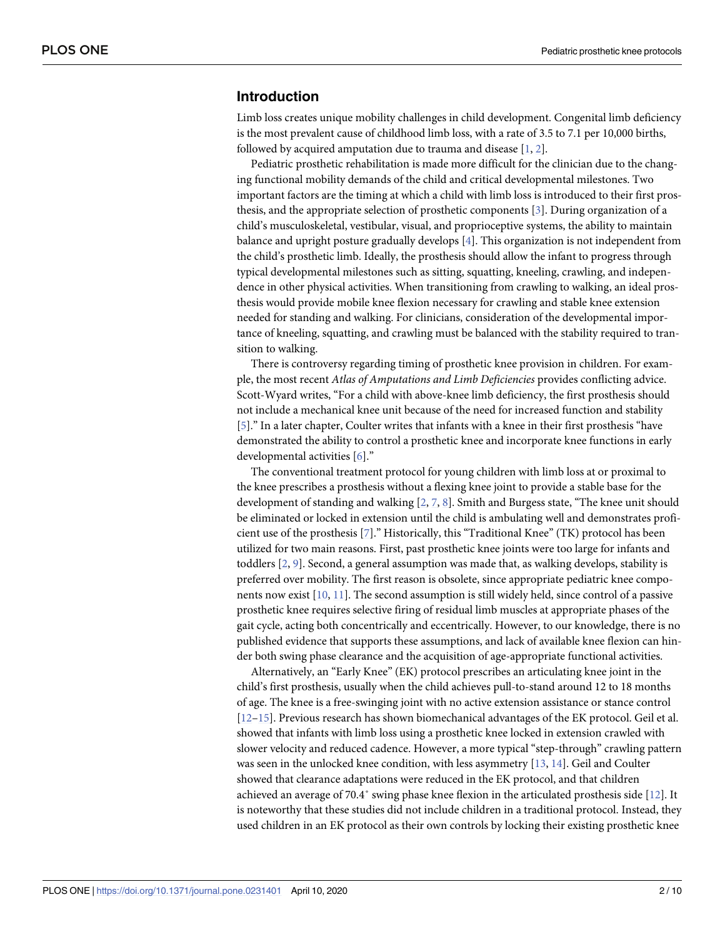#### <span id="page-2-0"></span>**Introduction**

Limb loss creates unique mobility challenges in child development. Congenital limb deficiency is the most prevalent cause of childhood limb loss, with a rate of 3.5 to 7.1 per 10,000 births, followed by acquired amputation due to trauma and disease [\[1,](#page-9-0) [2](#page-9-0)].

Pediatric prosthetic rehabilitation is made more difficult for the clinician due to the changing functional mobility demands of the child and critical developmental milestones. Two important factors are the timing at which a child with limb loss is introduced to their first prosthesis, and the appropriate selection of prosthetic components [\[3\]](#page-9-0). During organization of a child's musculoskeletal, vestibular, visual, and proprioceptive systems, the ability to maintain balance and upright posture gradually develops [\[4](#page-9-0)]. This organization is not independent from the child's prosthetic limb. Ideally, the prosthesis should allow the infant to progress through typical developmental milestones such as sitting, squatting, kneeling, crawling, and independence in other physical activities. When transitioning from crawling to walking, an ideal prosthesis would provide mobile knee flexion necessary for crawling and stable knee extension needed for standing and walking. For clinicians, consideration of the developmental importance of kneeling, squatting, and crawling must be balanced with the stability required to transition to walking.

There is controversy regarding timing of prosthetic knee provision in children. For example, the most recent *Atlas of Amputations and Limb Deficiencies* provides conflicting advice. Scott-Wyard writes, "For a child with above-knee limb deficiency, the first prosthesis should not include a mechanical knee unit because of the need for increased function and stability [\[5](#page-9-0)]." In a later chapter, Coulter writes that infants with a knee in their first prosthesis "have demonstrated the ability to control a prosthetic knee and incorporate knee functions in early developmental activities [\[6](#page-9-0)]."

The conventional treatment protocol for young children with limb loss at or proximal to the knee prescribes a prosthesis without a flexing knee joint to provide a stable base for the development of standing and walking [\[2](#page-9-0), [7](#page-9-0), [8](#page-9-0)]. Smith and Burgess state, "The knee unit should be eliminated or locked in extension until the child is ambulating well and demonstrates proficient use of the prosthesis [[7](#page-9-0)]." Historically, this "Traditional Knee" (TK) protocol has been utilized for two main reasons. First, past prosthetic knee joints were too large for infants and toddlers [\[2,](#page-9-0) [9](#page-9-0)]. Second, a general assumption was made that, as walking develops, stability is preferred over mobility. The first reason is obsolete, since appropriate pediatric knee components now exist [\[10,](#page-9-0) [11\]](#page-10-0). The second assumption is still widely held, since control of a passive prosthetic knee requires selective firing of residual limb muscles at appropriate phases of the gait cycle, acting both concentrically and eccentrically. However, to our knowledge, there is no published evidence that supports these assumptions, and lack of available knee flexion can hinder both swing phase clearance and the acquisition of age-appropriate functional activities.

Alternatively, an "Early Knee" (EK) protocol prescribes an articulating knee joint in the child's first prosthesis, usually when the child achieves pull-to-stand around 12 to 18 months of age. The knee is a free-swinging joint with no active extension assistance or stance control [\[12–15\]](#page-10-0). Previous research has shown biomechanical advantages of the EK protocol. Geil et al. showed that infants with limb loss using a prosthetic knee locked in extension crawled with slower velocity and reduced cadence. However, a more typical "step-through" crawling pattern was seen in the unlocked knee condition, with less asymmetry [[13](#page-10-0), [14](#page-10-0)]. Geil and Coulter showed that clearance adaptations were reduced in the EK protocol, and that children achieved an average of 70.4˚ swing phase knee flexion in the articulated prosthesis side [[12\]](#page-10-0). It is noteworthy that these studies did not include children in a traditional protocol. Instead, they used children in an EK protocol as their own controls by locking their existing prosthetic knee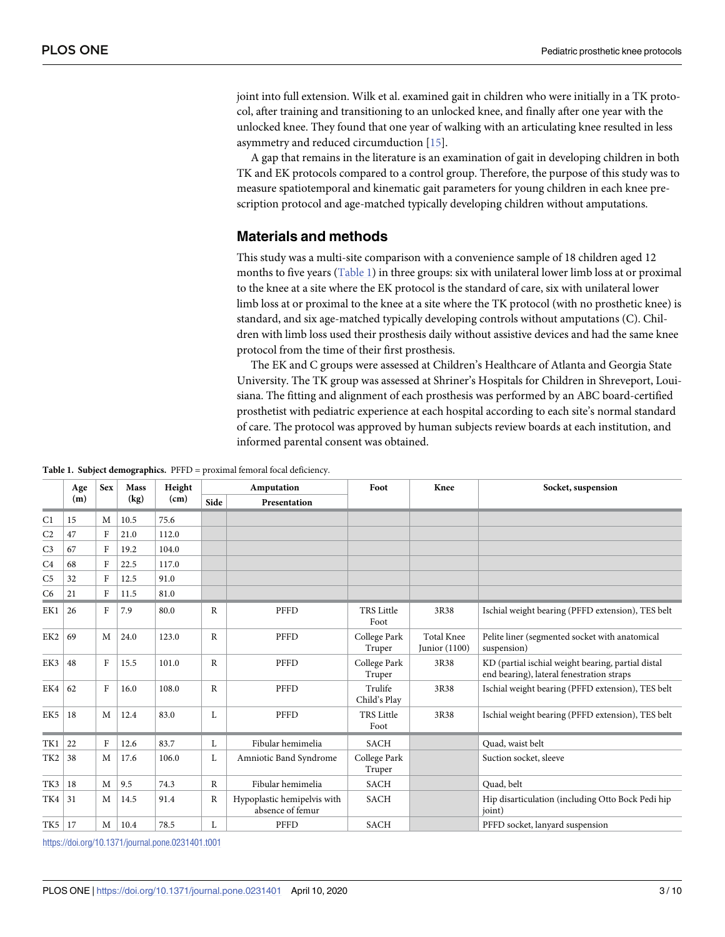<span id="page-3-0"></span>joint into full extension. Wilk et al. examined gait in children who were initially in a TK protocol, after training and transitioning to an unlocked knee, and finally after one year with the unlocked knee. They found that one year of walking with an articulating knee resulted in less asymmetry and reduced circumduction [\[15\]](#page-10-0).

A gap that remains in the literature is an examination of gait in developing children in both TK and EK protocols compared to a control group. Therefore, the purpose of this study was to measure spatiotemporal and kinematic gait parameters for young children in each knee prescription protocol and age-matched typically developing children without amputations.

### **Materials and methods**

This study was a multi-site comparison with a convenience sample of 18 children aged 12 months to five years (Table 1) in three groups: six with unilateral lower limb loss at or proximal to the knee at a site where the EK protocol is the standard of care, six with unilateral lower limb loss at or proximal to the knee at a site where the TK protocol (with no prosthetic knee) is standard, and six age-matched typically developing controls without amputations (C). Children with limb loss used their prosthesis daily without assistive devices and had the same knee protocol from the time of their first prosthesis.

The EK and C groups were assessed at Children's Healthcare of Atlanta and Georgia State University. The TK group was assessed at Shriner's Hospitals for Children in Shreveport, Louisiana. The fitting and alignment of each prosthesis was performed by an ABC board-certified prosthetist with pediatric experience at each hospital according to each site's normal standard of care. The protocol was approved by human subjects review boards at each institution, and informed parental consent was obtained.

**Table 1. Subject demographics.** PFFD = proximal femoral focal deficiency.

|                 | Age | <b>Sex</b>   | <b>Mass</b> | Height | Amputation   |                                                 | Foot                      | Knee                                 | Socket, suspension                                                                              |  |  |
|-----------------|-----|--------------|-------------|--------|--------------|-------------------------------------------------|---------------------------|--------------------------------------|-------------------------------------------------------------------------------------------------|--|--|
|                 | (m) |              | (kg)        | (cm)   | Side         | Presentation                                    |                           |                                      |                                                                                                 |  |  |
| C <sub>1</sub>  | 15  | M            | 10.5        | 75.6   |              |                                                 |                           |                                      |                                                                                                 |  |  |
| C <sub>2</sub>  | 47  | F            | 21.0        | 112.0  |              |                                                 |                           |                                      |                                                                                                 |  |  |
| C <sub>3</sub>  | 67  | F            | 19.2        | 104.0  |              |                                                 |                           |                                      |                                                                                                 |  |  |
| C <sub>4</sub>  | 68  | F            | 22.5        | 117.0  |              |                                                 |                           |                                      |                                                                                                 |  |  |
| C <sub>5</sub>  | 32  | F            | 12.5        | 91.0   |              |                                                 |                           |                                      |                                                                                                 |  |  |
| C <sub>6</sub>  | 21  | F            | 11.5        | 81.0   |              |                                                 |                           |                                      |                                                                                                 |  |  |
| EK1             | 26  | $\mathbf{F}$ | 7.9         | 80.0   | $\mathbb{R}$ | PFFD                                            | <b>TRS</b> Little<br>Foot | 3R38                                 | Ischial weight bearing (PFFD extension), TES belt                                               |  |  |
| EK <sub>2</sub> | 69  | M            | 24.0        | 123.0  | R            | PFFD                                            | College Park<br>Truper    | <b>Total Knee</b><br>Junior $(1100)$ | Pelite liner (segmented socket with anatomical<br>suspension)                                   |  |  |
| EK3             | 48  | F            | 15.5        | 101.0  | $\mathbb{R}$ | PFFD                                            | College Park<br>Truper    | 3R38                                 | KD (partial ischial weight bearing, partial distal<br>end bearing), lateral fenestration straps |  |  |
| EK4             | 62  | F            | 16.0        | 108.0  | $\mathbb{R}$ | PFFD                                            | Trulife<br>Child's Play   | 3R38                                 | Ischial weight bearing (PFFD extension), TES belt                                               |  |  |
| EK5             | 18  | M            | 12.4        | 83.0   | L            | PFFD                                            | <b>TRS</b> Little<br>Foot | 3R38                                 | Ischial weight bearing (PFFD extension), TES belt                                               |  |  |
| TK1             | 22  | F            | 12.6        | 83.7   | L            | Fibular hemimelia                               | <b>SACH</b>               |                                      | Ouad, waist belt                                                                                |  |  |
| TK <sub>2</sub> | 38  | M            | 17.6        | 106.0  | L            | Amniotic Band Syndrome                          | College Park<br>Truper    |                                      | Suction socket, sleeve                                                                          |  |  |
| TK3             | 18  | M            | 9.5         | 74.3   | $\mathbb{R}$ | Fibular hemimelia                               | <b>SACH</b>               |                                      | Quad, belt                                                                                      |  |  |
| TK4             | 31  | M            | 14.5        | 91.4   | $\mathbb R$  | Hypoplastic hemipelvis with<br>absence of femur | <b>SACH</b>               |                                      | Hip disarticulation (including Otto Bock Pedi hip<br>joint)                                     |  |  |
| TK5   17        |     | M            | 10.4        | 78.5   | L            | PFFD                                            | <b>SACH</b>               |                                      | PFFD socket, lanyard suspension                                                                 |  |  |

<https://doi.org/10.1371/journal.pone.0231401.t001>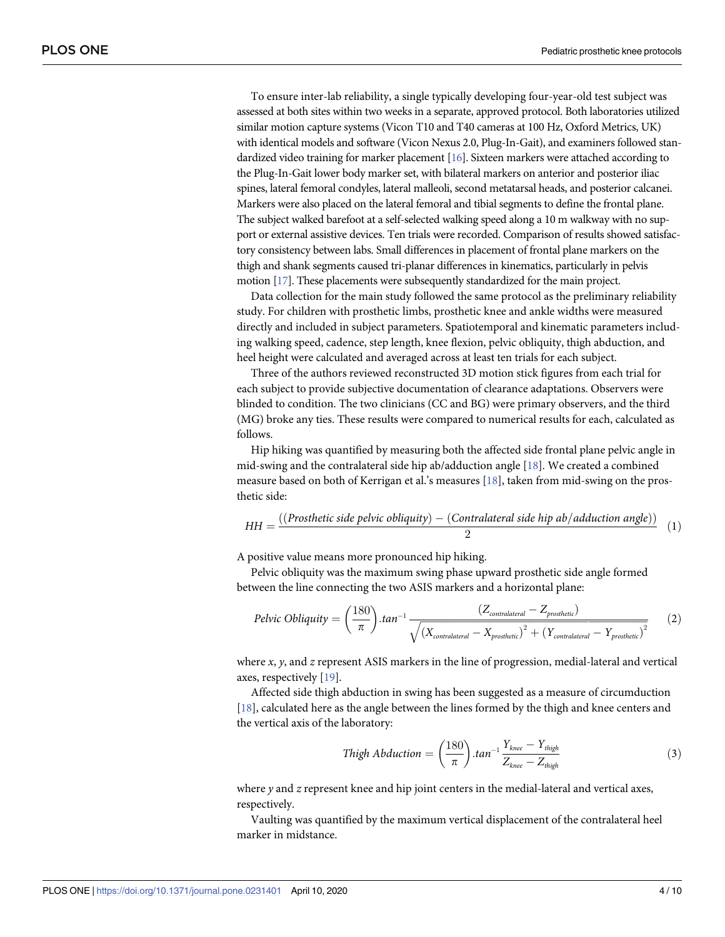<span id="page-4-0"></span>To ensure inter-lab reliability, a single typically developing four-year-old test subject was assessed at both sites within two weeks in a separate, approved protocol. Both laboratories utilized similar motion capture systems (Vicon T10 and T40 cameras at 100 Hz, Oxford Metrics, UK) with identical models and software (Vicon Nexus 2.0, Plug-In-Gait), and examiners followed standardized video training for marker placement [\[16](#page-10-0)]. Sixteen markers were attached according to the Plug-In-Gait lower body marker set, with bilateral markers on anterior and posterior iliac spines, lateral femoral condyles, lateral malleoli, second metatarsal heads, and posterior calcanei. Markers were also placed on the lateral femoral and tibial segments to define the frontal plane. The subject walked barefoot at a self-selected walking speed along a 10 m walkway with no support or external assistive devices. Ten trials were recorded. Comparison of results showed satisfactory consistency between labs. Small differences in placement of frontal plane markers on the thigh and shank segments caused tri-planar differences in kinematics, particularly in pelvis motion [\[17](#page-10-0)]. These placements were subsequently standardized for the main project.

Data collection for the main study followed the same protocol as the preliminary reliability study. For children with prosthetic limbs, prosthetic knee and ankle widths were measured directly and included in subject parameters. Spatiotemporal and kinematic parameters including walking speed, cadence, step length, knee flexion, pelvic obliquity, thigh abduction, and heel height were calculated and averaged across at least ten trials for each subject.

Three of the authors reviewed reconstructed 3D motion stick figures from each trial for each subject to provide subjective documentation of clearance adaptations. Observers were blinded to condition. The two clinicians (CC and BG) were primary observers, and the third (MG) broke any ties. These results were compared to numerical results for each, calculated as follows.

Hip hiking was quantified by measuring both the affected side frontal plane pelvic angle in mid-swing and the contralateral side hip ab/adduction angle [\[18\]](#page-10-0). We created a combined measure based on both of Kerrigan et al.'s measures [\[18\]](#page-10-0), taken from mid-swing on the prosthetic side:

$$
HH = \frac{((\text{Prosthetic side pelvic obliquity}) - (\text{Contralateral side hip ab/adduction angle}))}{2}
$$
 (1)

A positive value means more pronounced hip hiking.

Pelvic obliquity was the maximum swing phase upward prosthetic side angle formed between the line connecting the two ASIS markers and a horizontal plane:

$$
Pelvic Obliquity = \left(\frac{180}{\pi}\right).tan^{-1} \frac{\left(Z_{contralateral} - Z_{prothetic}\right)}{\sqrt{\left(X_{contralateral} - X_{prothetic}\right)^2 + \left(Y_{contralateral} - Y_{prosthetic}\right)^2}}
$$
(2)

where *x*, *y*, and *z* represent ASIS markers in the line of progression, medial-lateral and vertical axes, respectively [[19](#page-10-0)].

Affected side thigh abduction in swing has been suggested as a measure of circumduction [\[18\]](#page-10-0), calculated here as the angle between the lines formed by the thigh and knee centers and the vertical axis of the laboratory:

$$
Thigh Abduction = \left(\frac{180}{\pi}\right).tan^{-1}\frac{Y_{knee} - Y_{thigh}}{Z_{knee} - Z_{thigh}}
$$
\n(3)

where *y* and *z* represent knee and hip joint centers in the medial-lateral and vertical axes, respectively.

Vaulting was quantified by the maximum vertical displacement of the contralateral heel marker in midstance.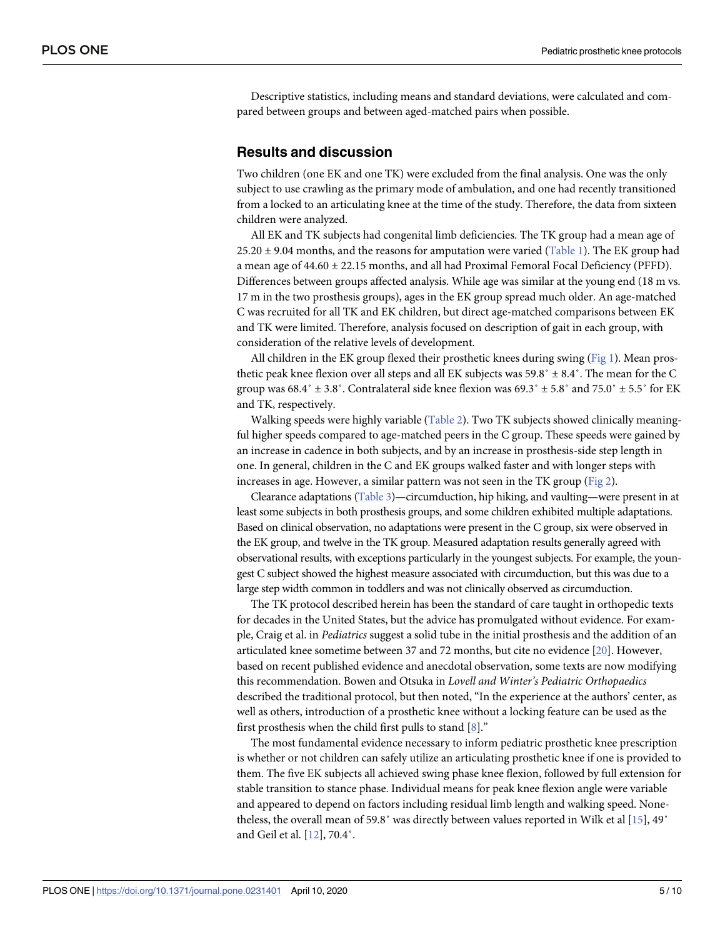<span id="page-5-0"></span>Descriptive statistics, including means and standard deviations, were calculated and compared between groups and between aged-matched pairs when possible.

#### **Results and discussion**

Two children (one EK and one TK) were excluded from the final analysis. One was the only subject to use crawling as the primary mode of ambulation, and one had recently transitioned from a locked to an articulating knee at the time of the study. Therefore, the data from sixteen children were analyzed.

All EK and TK subjects had congenital limb deficiencies. The TK group had a mean age of  $25.20 \pm 9.04$  months, and the reasons for amputation were varied ([Table](#page-3-0) 1). The EK group had a mean age of  $44.60 \pm 22.15$  months, and all had Proximal Femoral Focal Deficiency (PFFD). Differences between groups affected analysis. While age was similar at the young end (18 m vs. 17 m in the two prosthesis groups), ages in the EK group spread much older. An age-matched C was recruited for all TK and EK children, but direct age-matched comparisons between EK and TK were limited. Therefore, analysis focused on description of gait in each group, with consideration of the relative levels of development.

All children in the EK group flexed their prosthetic knees during swing [\(Fig](#page-6-0) 1). Mean prosthetic peak knee flexion over all steps and all EK subjects was  $59.8° \pm 8.4°$ . The mean for the C group was  $68.4° \pm 3.8°$ . Contralateral side knee flexion was  $69.3° \pm 5.8°$  and  $75.0° \pm 5.5°$  for EK and TK, respectively.

Walking speeds were highly variable ([Table](#page-7-0) 2). Two TK subjects showed clinically meaningful higher speeds compared to age-matched peers in the C group. These speeds were gained by an increase in cadence in both subjects, and by an increase in prosthesis-side step length in one. In general, children in the C and EK groups walked faster and with longer steps with increases in age. However, a similar pattern was not seen in the TK group ([Fig](#page-7-0) 2).

Clearance adaptations [\(Table](#page-8-0) 3)—circumduction, hip hiking, and vaulting—were present in at least some subjects in both prosthesis groups, and some children exhibited multiple adaptations. Based on clinical observation, no adaptations were present in the C group, six were observed in the EK group, and twelve in the TK group. Measured adaptation results generally agreed with observational results, with exceptions particularly in the youngest subjects. For example, the youngest C subject showed the highest measure associated with circumduction, but this was due to a large step width common in toddlers and was not clinically observed as circumduction.

The TK protocol described herein has been the standard of care taught in orthopedic texts for decades in the United States, but the advice has promulgated without evidence. For example, Craig et al. in *Pediatrics* suggest a solid tube in the initial prosthesis and the addition of an articulated knee sometime between 37 and 72 months, but cite no evidence [\[20\]](#page-10-0). However, based on recent published evidence and anecdotal observation, some texts are now modifying this recommendation. Bowen and Otsuka in *Lovell and Winter's Pediatric Orthopaedics* described the traditional protocol, but then noted, "In the experience at the authors' center, as well as others, introduction of a prosthetic knee without a locking feature can be used as the first prosthesis when the child first pulls to stand [[8\]](#page-9-0)."

The most fundamental evidence necessary to inform pediatric prosthetic knee prescription is whether or not children can safely utilize an articulating prosthetic knee if one is provided to them. The five EK subjects all achieved swing phase knee flexion, followed by full extension for stable transition to stance phase. Individual means for peak knee flexion angle were variable and appeared to depend on factors including residual limb length and walking speed. Nonetheless, the overall mean of 59.8˚ was directly between values reported in Wilk et al [[15](#page-10-0)], 49˚ and Geil et al. [\[12\]](#page-10-0), 70.4˚.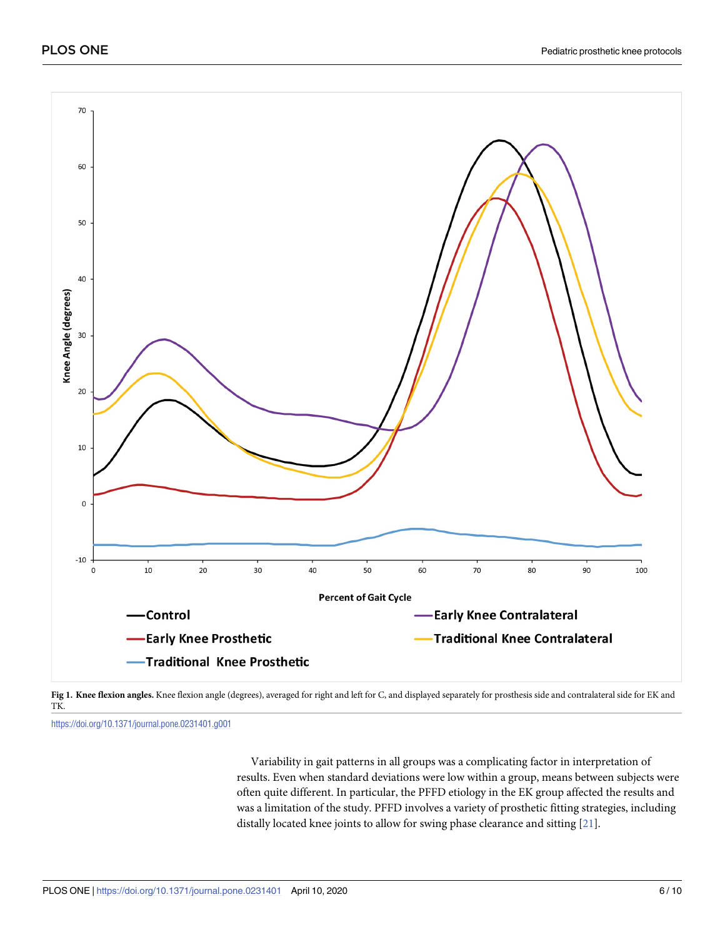<span id="page-6-0"></span>



<https://doi.org/10.1371/journal.pone.0231401.g001>

Variability in gait patterns in all groups was a complicating factor in interpretation of results. Even when standard deviations were low within a group, means between subjects were often quite different. In particular, the PFFD etiology in the EK group affected the results and was a limitation of the study. PFFD involves a variety of prosthetic fitting strategies, including distally located knee joints to allow for swing phase clearance and sitting [\[21\]](#page-10-0).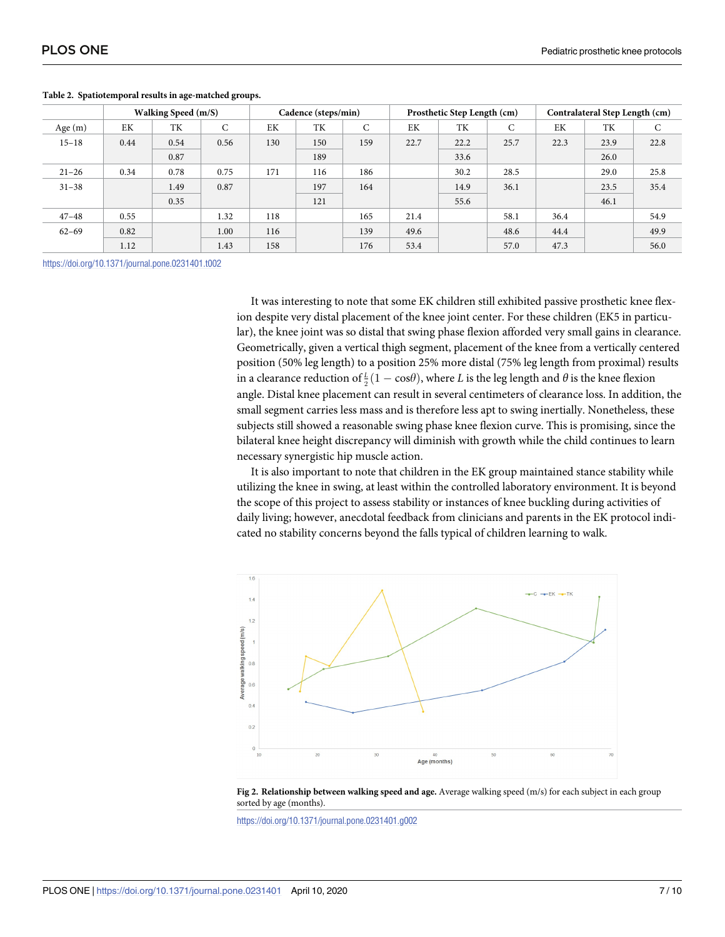|           |      | Walking Speed (m/S) |      |     | Cadence (steps/min) |     |      | Prosthetic Step Length (cm) |      |      | Contralateral Step Length (cm) |      |
|-----------|------|---------------------|------|-----|---------------------|-----|------|-----------------------------|------|------|--------------------------------|------|
| Age $(m)$ | EK   | TK                  | C    | EK  | TК                  | C   | EK   | TK                          | C    | EK   | TK                             | C    |
| $15 - 18$ | 0.44 | 0.54                | 0.56 | 130 | 150                 | 159 | 22.7 | 22.2                        | 25.7 | 22.3 | 23.9                           | 22.8 |
|           |      | 0.87                |      |     | 189                 |     |      | 33.6                        |      |      | 26.0                           |      |
| $21 - 26$ | 0.34 | 0.78                | 0.75 | 171 | 116                 | 186 |      | 30.2                        | 28.5 |      | 29.0                           | 25.8 |
| $31 - 38$ |      | 1.49                | 0.87 |     | 197                 | 164 |      | 14.9                        | 36.1 |      | 23.5                           | 35.4 |
|           |      | 0.35                |      |     | 121                 |     |      | 55.6                        |      |      | 46.1                           |      |
| $47 - 48$ | 0.55 |                     | 1.32 | 118 |                     | 165 | 21.4 |                             | 58.1 | 36.4 |                                | 54.9 |
| $62 - 69$ | 0.82 |                     | 1.00 | 116 |                     | 139 | 49.6 |                             | 48.6 | 44.4 |                                | 49.9 |
|           | 1.12 |                     | 1.43 | 158 |                     | 176 | 53.4 |                             | 57.0 | 47.3 |                                | 56.0 |

#### <span id="page-7-0"></span>**[Table](#page-5-0) 2. Spatiotemporal results in age-matched groups.**

<https://doi.org/10.1371/journal.pone.0231401.t002>

It was interesting to note that some EK children still exhibited passive prosthetic knee flexion despite very distal placement of the knee joint center. For these children (EK5 in particular), the knee joint was so distal that swing phase flexion afforded very small gains in clearance. Geometrically, given a vertical thigh segment, placement of the knee from a vertically centered position (50% leg length) to a position 25% more distal (75% leg length from proximal) results in a clearance reduction of  $\frac{L}{2}(1-\cos\theta)$ , where *L* is the leg length and *θ* is the knee flexion angle. Distal knee placement can result in several centimeters of clearance loss. In addition, the small segment carries less mass and is therefore less apt to swing inertially. Nonetheless, these subjects still showed a reasonable swing phase knee flexion curve. This is promising, since the bilateral knee height discrepancy will diminish with growth while the child continues to learn necessary synergistic hip muscle action.

It is also important to note that children in the EK group maintained stance stability while utilizing the knee in swing, at least within the controlled laboratory environment. It is beyond the scope of this project to assess stability or instances of knee buckling during activities of daily living; however, anecdotal feedback from clinicians and parents in the EK protocol indicated no stability concerns beyond the falls typical of children learning to walk.





<https://doi.org/10.1371/journal.pone.0231401.g002>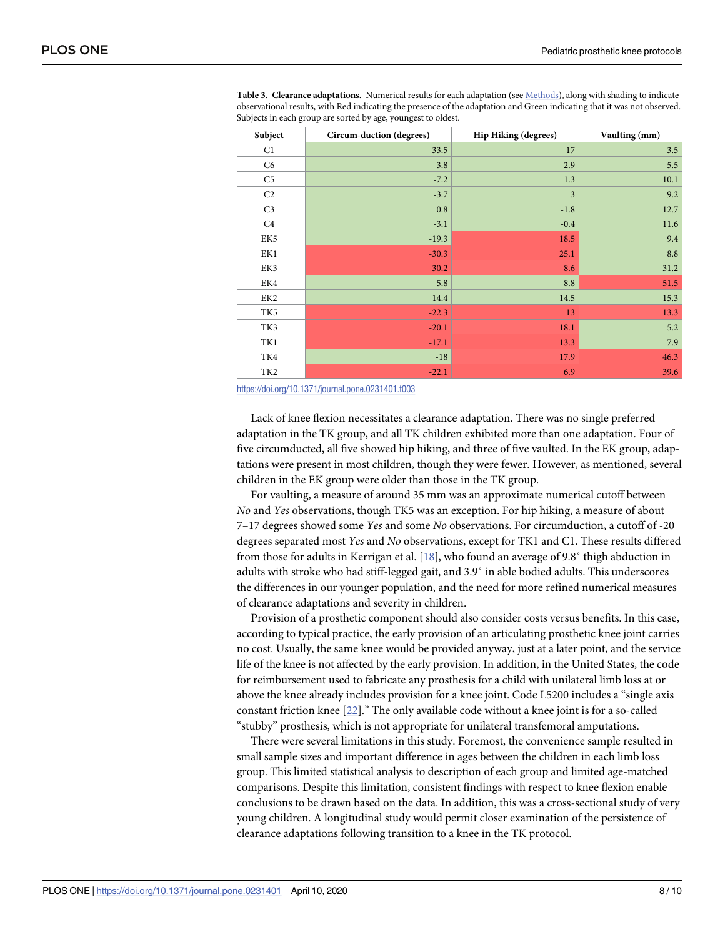| Subject         | Circum-duction (degrees) | <b>Hip Hiking (degrees)</b> | Vaulting (mm) |
|-----------------|--------------------------|-----------------------------|---------------|
| C1              | $-33.5$                  | 17                          | 3.5           |
| C6              | $-3.8$                   | 2.9                         | 5.5           |
| C <sub>5</sub>  | $-7.2$                   | 1.3                         | 10.1          |
| C <sub>2</sub>  | $-3.7$                   | 3                           | 9.2           |
| C <sub>3</sub>  | 0.8                      | $-1.8$                      | 12.7          |
| C4              | $-3.1$                   | $-0.4$                      | 11.6          |
| EK5             | $-19.3$                  | 18.5                        | 9.4           |
| EK1             | $-30.3$                  | 25.1                        | 8.8           |
| EK3             | $-30.2$                  | 8.6                         | 31.2          |
| EK4             | $-5.8$                   | 8.8                         | 51.5          |
| EK2             | $-14.4$                  | 14.5                        | 15.3          |
| TK5             | $-22.3$                  | 13                          | 13.3          |
| TK3             | $-20.1$                  | 18.1                        | 5.2           |
| TK1             | $-17.1$                  | 13.3                        | 7.9           |
| TK4             | $-18$                    | 17.9                        | 46.3          |
| TK <sub>2</sub> | $-22.1$                  | 6.9                         | 39.6          |

<span id="page-8-0"></span>**[Table](#page-5-0) 3. Clearance adaptations.** Numerical results for each adaptation (see [Methods\)](#page-3-0), along with shading to indicate observational results, with Red indicating the presence of the adaptation and Green indicating that it was not observed. Subjects in each group are sorted by age, youngest to oldest.

<https://doi.org/10.1371/journal.pone.0231401.t003>

Lack of knee flexion necessitates a clearance adaptation. There was no single preferred adaptation in the TK group, and all TK children exhibited more than one adaptation. Four of five circumducted, all five showed hip hiking, and three of five vaulted. In the EK group, adaptations were present in most children, though they were fewer. However, as mentioned, several children in the EK group were older than those in the TK group.

For vaulting, a measure of around 35 mm was an approximate numerical cutoff between *No* and *Yes* observations, though TK5 was an exception. For hip hiking, a measure of about 7–17 degrees showed some *Yes* and some *No* observations. For circumduction, a cutoff of -20 degrees separated most *Yes* and *No* observations, except for TK1 and C1. These results differed from those for adults in Kerrigan et al. [[18](#page-10-0)], who found an average of 9.8˚ thigh abduction in adults with stroke who had stiff-legged gait, and 3.9˚ in able bodied adults. This underscores the differences in our younger population, and the need for more refined numerical measures of clearance adaptations and severity in children.

Provision of a prosthetic component should also consider costs versus benefits. In this case, according to typical practice, the early provision of an articulating prosthetic knee joint carries no cost. Usually, the same knee would be provided anyway, just at a later point, and the service life of the knee is not affected by the early provision. In addition, in the United States, the code for reimbursement used to fabricate any prosthesis for a child with unilateral limb loss at or above the knee already includes provision for a knee joint. Code L5200 includes a "single axis constant friction knee [[22](#page-10-0)]." The only available code without a knee joint is for a so-called "stubby" prosthesis, which is not appropriate for unilateral transfemoral amputations.

There were several limitations in this study. Foremost, the convenience sample resulted in small sample sizes and important difference in ages between the children in each limb loss group. This limited statistical analysis to description of each group and limited age-matched comparisons. Despite this limitation, consistent findings with respect to knee flexion enable conclusions to be drawn based on the data. In addition, this was a cross-sectional study of very young children. A longitudinal study would permit closer examination of the persistence of clearance adaptations following transition to a knee in the TK protocol.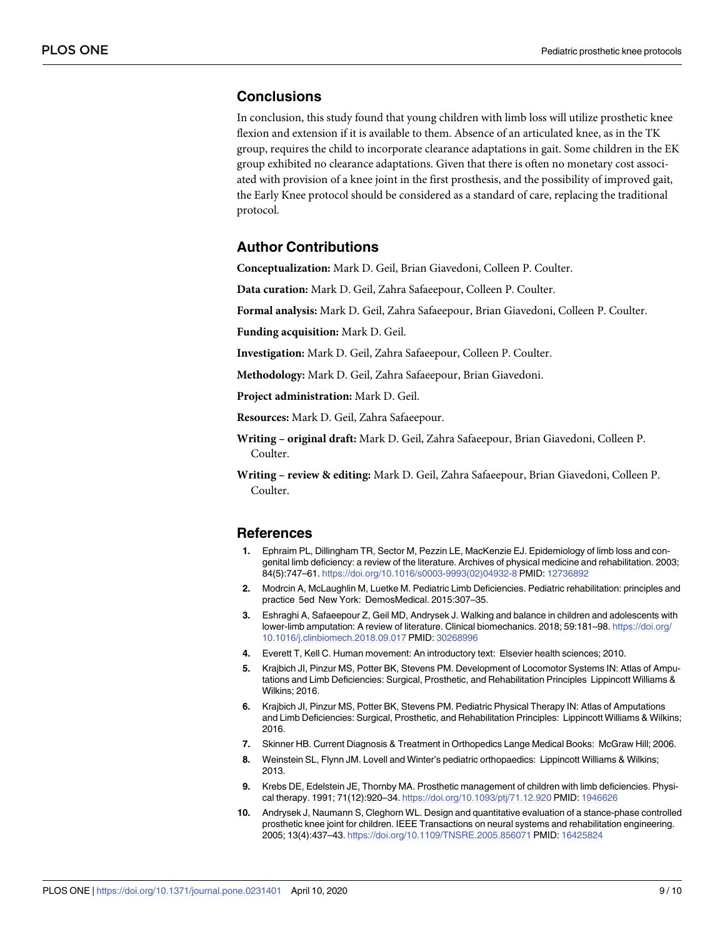#### <span id="page-9-0"></span>**Conclusions**

In conclusion, this study found that young children with limb loss will utilize prosthetic knee flexion and extension if it is available to them. Absence of an articulated knee, as in the TK group, requires the child to incorporate clearance adaptations in gait. Some children in the EK group exhibited no clearance adaptations. Given that there is often no monetary cost associated with provision of a knee joint in the first prosthesis, and the possibility of improved gait, the Early Knee protocol should be considered as a standard of care, replacing the traditional protocol.

#### **Author Contributions**

**Conceptualization:** Mark D. Geil, Brian Giavedoni, Colleen P. Coulter.

**Data curation:** Mark D. Geil, Zahra Safaeepour, Colleen P. Coulter.

**Formal analysis:** Mark D. Geil, Zahra Safaeepour, Brian Giavedoni, Colleen P. Coulter.

**Funding acquisition:** Mark D. Geil.

**Investigation:** Mark D. Geil, Zahra Safaeepour, Colleen P. Coulter.

**Methodology:** Mark D. Geil, Zahra Safaeepour, Brian Giavedoni.

**Project administration:** Mark D. Geil.

**Resources:** Mark D. Geil, Zahra Safaeepour.

**Writing – original draft:** Mark D. Geil, Zahra Safaeepour, Brian Giavedoni, Colleen P. Coulter.

**Writing – review & editing:** Mark D. Geil, Zahra Safaeepour, Brian Giavedoni, Colleen P. Coulter.

#### **References**

- **[1](#page-2-0).** Ephraim PL, Dillingham TR, Sector M, Pezzin LE, MacKenzie EJ. Epidemiology of limb loss and congenital limb deficiency: a review of the literature. Archives of physical medicine and rehabilitation. 2003; 84(5):747–61. [https://doi.org/10.1016/s0003-9993\(02\)04932-8](https://doi.org/10.1016/s0003-9993(02)04932-8) PMID: [12736892](http://www.ncbi.nlm.nih.gov/pubmed/12736892)
- **[2](#page-2-0).** Modrcin A, McLaughlin M, Luetke M. Pediatric Limb Deficiencies. Pediatric rehabilitation: principles and practice 5ed New York: DemosMedical. 2015:307–35.
- **[3](#page-2-0).** Eshraghi A, Safaeepour Z, Geil MD, Andrysek J. Walking and balance in children and adolescents with lower-limb amputation: A review of literature. Clinical biomechanics. 2018; 59:181–98. [https://doi.org/](https://doi.org/10.1016/j.clinbiomech.2018.09.017) [10.1016/j.clinbiomech.2018.09.017](https://doi.org/10.1016/j.clinbiomech.2018.09.017) PMID: [30268996](http://www.ncbi.nlm.nih.gov/pubmed/30268996)
- **[4](#page-2-0).** Everett T, Kell C. Human movement: An introductory text: Elsevier health sciences; 2010.
- **[5](#page-2-0).** Krajbich JI, Pinzur MS, Potter BK, Stevens PM. Development of Locomotor Systems IN: Atlas of Amputations and Limb Deficiencies: Surgical, Prosthetic, and Rehabilitation Principles Lippincott Williams & Wilkins; 2016.
- **[6](#page-2-0).** Krajbich JI, Pinzur MS, Potter BK, Stevens PM. Pediatric Physical Therapy IN: Atlas of Amputations and Limb Deficiencies: Surgical, Prosthetic, and Rehabilitation Principles: Lippincott Williams & Wilkins; 2016.
- **[7](#page-2-0).** Skinner HB. Current Diagnosis & Treatment in Orthopedics Lange Medical Books: McGraw Hill; 2006.
- **[8](#page-2-0).** Weinstein SL, Flynn JM. Lovell and Winter's pediatric orthopaedics: Lippincott Williams & Wilkins; 2013.
- **[9](#page-2-0).** Krebs DE, Edelstein JE, Thornby MA. Prosthetic management of children with limb deficiencies. Physical therapy. 1991; 71(12):920–34. <https://doi.org/10.1093/ptj/71.12.920> PMID: [1946626](http://www.ncbi.nlm.nih.gov/pubmed/1946626)
- **[10](#page-2-0).** Andrysek J, Naumann S, Cleghorn WL. Design and quantitative evaluation of a stance-phase controlled prosthetic knee joint for children. IEEE Transactions on neural systems and rehabilitation engineering. 2005; 13(4):437–43. <https://doi.org/10.1109/TNSRE.2005.856071> PMID: [16425824](http://www.ncbi.nlm.nih.gov/pubmed/16425824)